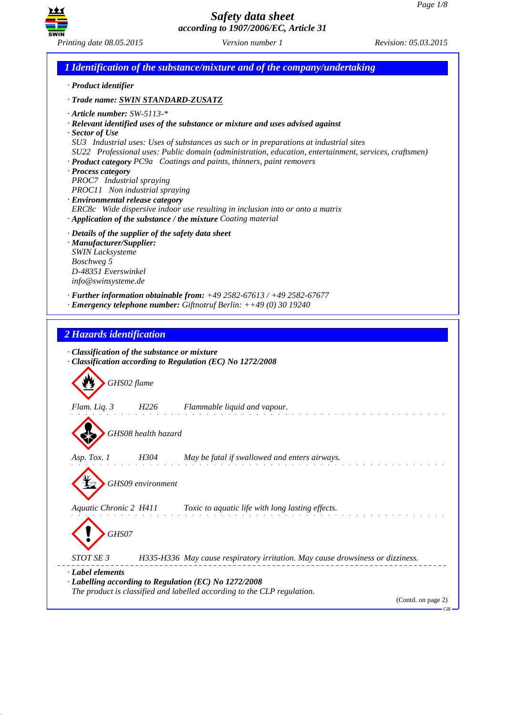

| · Product identifier                  |                                                                                                                                  |
|---------------------------------------|----------------------------------------------------------------------------------------------------------------------------------|
|                                       | · Trade name: SWIN STANDARD-ZUSATZ                                                                                               |
| $\cdot$ Article number: SW-5113-*     |                                                                                                                                  |
|                                       | · Relevant identified uses of the substance or mixture and uses advised against                                                  |
| $\cdot$ Sector of Use                 | SU3 Industrial uses: Uses of substances as such or in preparations at industrial sites                                           |
|                                       | SU22 Professional uses: Public domain (administration, education, entertainment, services, craftsmen)                            |
|                                       | · Product category PC9a Coatings and paints, thinners, paint removers                                                            |
| · Process category                    |                                                                                                                                  |
| PROC7 Industrial spraying             |                                                                                                                                  |
|                                       | PROC11 Non industrial spraying                                                                                                   |
| · Environmental release category      |                                                                                                                                  |
|                                       | ERC8c Wide dispersive indoor use resulting in inclusion into or onto a matrix                                                    |
|                                       | · Application of the substance / the mixture Coating material                                                                    |
|                                       | · Details of the supplier of the safety data sheet                                                                               |
| · Manufacturer/Supplier:              |                                                                                                                                  |
| <b>SWIN Lacksysteme</b><br>Boschweg 5 |                                                                                                                                  |
| D-48351 Everswinkel                   |                                                                                                                                  |
| info@swinsysteme.de                   |                                                                                                                                  |
|                                       | $\cdot$ Further information obtainable from: $+49\,2582-67613$ / $+49\,2582-67677$                                               |
|                                       | $\cdot$ Emergency telephone number: Giftnotruf Berlin: ++49 (0) 30 19240                                                         |
|                                       |                                                                                                                                  |
|                                       | · Classification of the substance or mixture<br>· Classification according to Regulation (EC) No 1272/2008                       |
| 2 Hazards identification              | GHS02 flame                                                                                                                      |
|                                       |                                                                                                                                  |
| Flam. Liq. 3                          | Flammable liquid and vapour.<br>H226                                                                                             |
|                                       |                                                                                                                                  |
|                                       | GHS08 health hazard                                                                                                              |
|                                       |                                                                                                                                  |
|                                       | H304<br>May be fatal if swallowed and enters airways.                                                                            |
| Asp. Tox. 1                           |                                                                                                                                  |
|                                       | GHS09 environment                                                                                                                |
|                                       |                                                                                                                                  |
|                                       |                                                                                                                                  |
| Aquatic Chronic 2 H411                | Toxic to aquatic life with long lasting effects.                                                                                 |
|                                       |                                                                                                                                  |
| GHS07                                 |                                                                                                                                  |
|                                       |                                                                                                                                  |
| <i>STOT SE 3</i>                      | H335-H336 May cause respiratory irritation. May cause drowsiness or dizziness.                                                   |
| · Label elements                      |                                                                                                                                  |
|                                       | · Labelling according to Regulation (EC) No 1272/2008<br>The product is classified and labelled according to the CLP regulation. |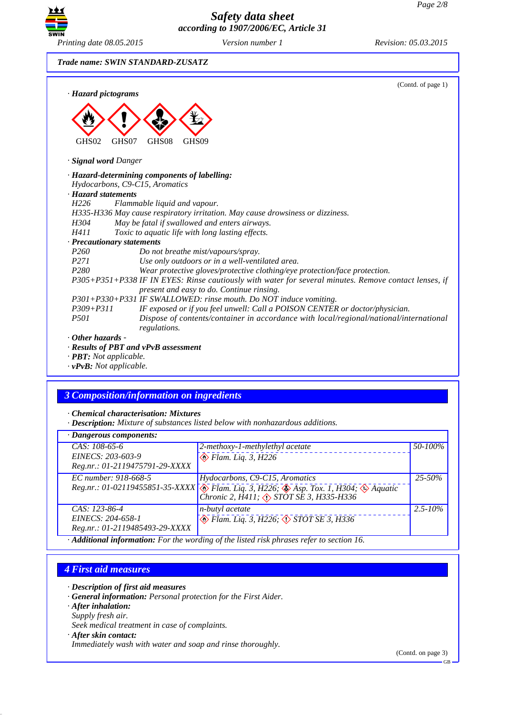

*Trade name: SWIN STANDARD-ZUSATZ*

| · Hazard pictograms           | (Contd. of page 1)                                                                                                                                 |
|-------------------------------|----------------------------------------------------------------------------------------------------------------------------------------------------|
|                               |                                                                                                                                                    |
| GHS02<br>· Signal word Danger | GHS07<br>GHS08<br>GHS <sub>09</sub>                                                                                                                |
|                               |                                                                                                                                                    |
|                               | · Hazard-determining components of labelling:<br>Hydocarbons, C9-C15, Aromatics                                                                    |
| · Hazard statements           |                                                                                                                                                    |
| H <sub>226</sub>              | Flammable liquid and vapour.                                                                                                                       |
|                               | H335-H336 May cause respiratory irritation. May cause drowsiness or dizziness.                                                                     |
| H304                          | May be fatal if swallowed and enters airways.                                                                                                      |
| H411                          | Toxic to aquatic life with long lasting effects.                                                                                                   |
| · Precautionary statements    |                                                                                                                                                    |
| P <sub>260</sub>              | Do not breathe mist/vapours/spray.                                                                                                                 |
| <i>P271</i>                   | Use only outdoors or in a well-ventilated area.                                                                                                    |
| P <sub>280</sub>              | Wear protective gloves/protective clothing/eye protection/face protection.                                                                         |
|                               | P305+P351+P338 IF IN EYES: Rinse cautiously with water for several minutes. Remove contact lenses, if<br>present and easy to do. Continue rinsing. |
|                               | P301+P330+P331 IF SWALLOWED: rinse mouth. Do NOT induce vomiting.                                                                                  |
| $P309 + P311$                 | IF exposed or if you feel unwell: Call a POISON CENTER or doctor/physician.                                                                        |
| <i>P501</i>                   | Dispose of contents/container in accordance with local/regional/national/international<br>regulations.                                             |
| $\cdot$ Other hazards -       |                                                                                                                                                    |
|                               | · Results of PBT and vPvB assessment                                                                                                               |

*· PBT: Not applicable.*

*· vPvB: Not applicable.*

## *3 Composition/information on ingredients*

*· Chemical characterisation: Mixtures*

*· Description: Mixture of substances listed below with nonhazardous additions.*

| · Dangerous components:        |                                                                                                                                                   |              |
|--------------------------------|---------------------------------------------------------------------------------------------------------------------------------------------------|--------------|
| $CAS: 108-65-6$                | 2-methoxy-1-methylethyl acetate                                                                                                                   | 50-100%      |
| EINECS: 203-603-9              | $\otimes$ Flam. Liq. 3, H226                                                                                                                      |              |
| Reg.nr.: 01-2119475791-29-XXXX |                                                                                                                                                   |              |
| EC number: 918-668-5           | Hydocarbons, C9-C15, Aromatics                                                                                                                    | $25 - 50\%$  |
|                                | Reg.nr.: 01-02119455851-35-XXXX & Flam. Liq. 3, H226; & Asp. Tox. 1, H304; & Aquatic<br>Chronic 2, $\hat{H}411$ ; $\Diamond$ STOT SE 3, H335-H336 |              |
| $CAS: 123-86-4$                | <i>n</i> -butyl acetate                                                                                                                           | $2.5 - 10\%$ |
| EINECS: 204-658-1              | $\leftrightarrow$ Flam. Liq. 3, H226; $\leftrightarrow$ STOT SE 3, H336                                                                           |              |
| Reg.nr.: 01-2119485493-29-XXXX |                                                                                                                                                   |              |

*· Additional information: For the wording of the listed risk phrases refer to section 16.*

### *4 First aid measures*

- *· Description of first aid measures*
- *· General information: Personal protection for the First Aider.*
- *· After inhalation:*
- *Supply fresh air.*
- *Seek medical treatment in case of complaints.*
- *· After skin contact:*

*Immediately wash with water and soap and rinse thoroughly.*

(Contd. on page 3)

 $CR$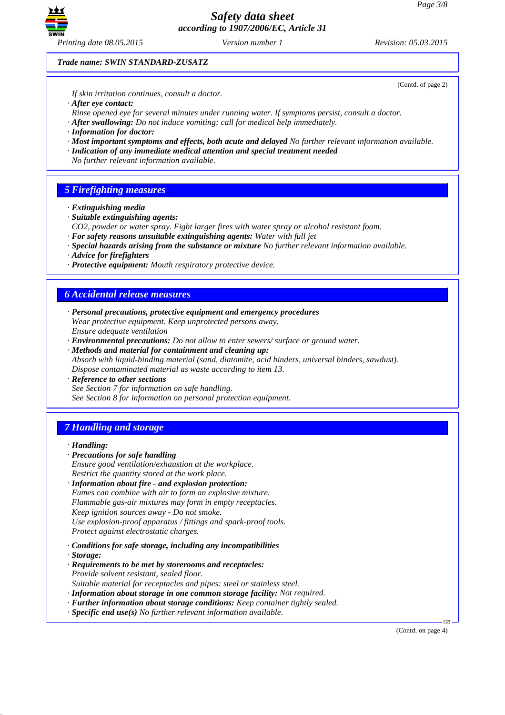

*Printing date 08.05.2015 Version number 1 Revision: 05.03.2015*

(Contd. of page 2)

*Trade name: SWIN STANDARD-ZUSATZ*

*If skin irritation continues, consult a doctor.*

*· After eye contact:*

*Rinse opened eye for several minutes under running water. If symptoms persist, consult a doctor.*

- *· After swallowing: Do not induce vomiting; call for medical help immediately.*
- *· Information for doctor:*
- *· Most important symptoms and effects, both acute and delayed No further relevant information available.*
- *· Indication of any immediate medical attention and special treatment needed*
- *No further relevant information available.*

### *5 Firefighting measures*

- *· Extinguishing media*
- *· Suitable extinguishing agents:*
- *CO2, powder or water spray. Fight larger fires with water spray or alcohol resistant foam.*
- *· For safety reasons unsuitable extinguishing agents: Water with full jet*
- *· Special hazards arising from the substance or mixture No further relevant information available.*
- *· Advice for firefighters*
- *· Protective equipment: Mouth respiratory protective device.*

### *6 Accidental release measures*

- *· Personal precautions, protective equipment and emergency procedures Wear protective equipment. Keep unprotected persons away. Ensure adequate ventilation*
- *· Environmental precautions: Do not allow to enter sewers/ surface or ground water.*
- *· Methods and material for containment and cleaning up: Absorb with liquid-binding material (sand, diatomite, acid binders, universal binders, sawdust). Dispose contaminated material as waste according to item 13.*
- *· Reference to other sections See Section 7 for information on safe handling. See Section 8 for information on personal protection equipment.*

## *7 Handling and storage*

### *· Handling:*

- *· Precautions for safe handling Ensure good ventilation/exhaustion at the workplace. Restrict the quantity stored at the work place.*
- *· Information about fire and explosion protection: Fumes can combine with air to form an explosive mixture. Flammable gas-air mixtures may form in empty receptacles. Keep ignition sources away - Do not smoke. Use explosion-proof apparatus / fittings and spark-proof tools. Protect against electrostatic charges.*
- *· Conditions for safe storage, including any incompatibilities*
- *· Storage:*
- *· Requirements to be met by storerooms and receptacles: Provide solvent resistant, sealed floor. Suitable material for receptacles and pipes: steel or stainless steel.*
- *· Information about storage in one common storage facility: Not required.*
- *· Further information about storage conditions: Keep container tightly sealed.*
- *· Specific end use(s) No further relevant information available.*

(Contd. on page 4)

GB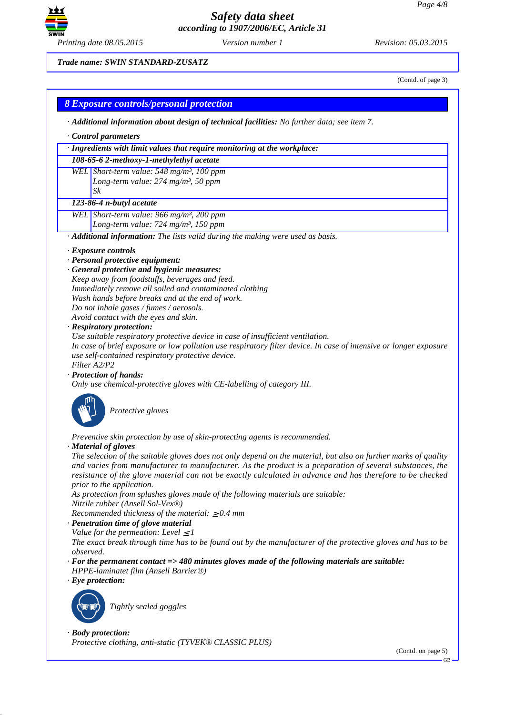

*Printing date 08.05.2015 Version number 1 Revision: 05.03.2015*

### *Trade name: SWIN STANDARD-ZUSATZ*

(Contd. of page 3)

### *8 Exposure controls/personal protection*

- *· Additional information about design of technical facilities: No further data; see item 7.*
- *· Control parameters*

### *· Ingredients with limit values that require monitoring at the workplace:*

*108-65-6 2-methoxy-1-methylethyl acetate*

*WEL Short-term value: 548 mg/m³, 100 ppm Long-term value: 274 mg/m³, 50 ppm Sk*

#### *123-86-4 n-butyl acetate*

- *WEL Short-term value: 966 mg/m³, 200 ppm Long-term value: 724 mg/m³, 150 ppm*
- *· Additional information: The lists valid during the making were used as basis.*
- *· Exposure controls*
- *· Personal protective equipment:*
- *· General protective and hygienic measures: Keep away from foodstuffs, beverages and feed. Immediately remove all soiled and contaminated clothing Wash hands before breaks and at the end of work. Do not inhale gases / fumes / aerosols. Avoid contact with the eyes and skin.*

#### *· Respiratory protection:*

*Use suitable respiratory protective device in case of insufficient ventilation.*

*In case of brief exposure or low pollution use respiratory filter device. In case of intensive or longer exposure use self-contained respiratory protective device.*

*Filter A2/P2*

*· Protection of hands:*

*Only use chemical-protective gloves with CE-labelling of category III.*



**Protective gloves** 

*Preventive skin protection by use of skin-protecting agents is recommended.*

#### *· Material of gloves*

*The selection of the suitable gloves does not only depend on the material, but also on further marks of quality and varies from manufacturer to manufacturer. As the product is a preparation of several substances, the resistance of the glove material can not be exactly calculated in advance and has therefore to be checked prior to the application.*

*As protection from splashes gloves made of the following materials are suitable: Nitrile rubber (Ansell Sol-Vex®)*

*Recommended thickness of the material:* ≥ *0.4 mm*

- *· Penetration time of glove material*
- *Value for the permeation: Level*  $\leq$  *1*

*The exact break through time has to be found out by the manufacturer of the protective gloves and has to be observed.*

- *· For the permanent contact => 480 minutes gloves made of the following materials are suitable:*
- *HPPE-laminatet film (Ansell Barrier®)*

### *· Eye protection:*



`R*Tightly sealed goggles*

*· Body protection:*

*Protective clothing, anti-static (TYVEK® CLASSIC PLUS)*

(Contd. on page 5)

GB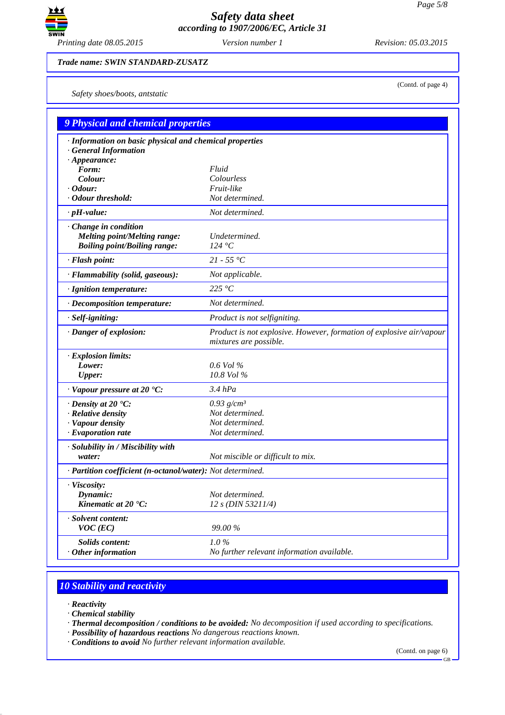

(Contd. of page 4)

*Trade name: SWIN STANDARD-ZUSATZ*

*Safety shoes/boots, antstatic*

| <b>9 Physical and chemical properties</b>                                                                    |                                                                                                |  |  |  |
|--------------------------------------------------------------------------------------------------------------|------------------------------------------------------------------------------------------------|--|--|--|
| · Information on basic physical and chemical properties<br><b>General Information</b><br>$\cdot$ Appearance: |                                                                                                |  |  |  |
| Form:                                                                                                        | Fluid                                                                                          |  |  |  |
| Colour:                                                                                                      | Colourless                                                                                     |  |  |  |
| $\cdot$ Odour:                                                                                               | Fruit-like                                                                                     |  |  |  |
| · Odour threshold:                                                                                           | Not determined.                                                                                |  |  |  |
| $\cdot$ pH-value:                                                                                            | Not determined.                                                                                |  |  |  |
| · Change in condition<br><b>Melting point/Melting range:</b><br><b>Boiling point/Boiling range:</b>          | Undetermined.<br>124 °C                                                                        |  |  |  |
| · Flash point:                                                                                               | $21 - 55 °C$                                                                                   |  |  |  |
| · Flammability (solid, gaseous):                                                                             | Not applicable.                                                                                |  |  |  |
| · Ignition temperature:                                                                                      | 225 $\degree$ C                                                                                |  |  |  |
| · Decomposition temperature:                                                                                 | Not determined.                                                                                |  |  |  |
| · Self-igniting:                                                                                             | Product is not selfigniting.                                                                   |  |  |  |
| · Danger of explosion:                                                                                       | Product is not explosive. However, formation of explosive air/vapour<br>mixtures are possible. |  |  |  |
| $\cdot$ Explosion limits:                                                                                    |                                                                                                |  |  |  |
| Lower:                                                                                                       | $0.6$ Vol %                                                                                    |  |  |  |
| <b>Upper:</b>                                                                                                | 10.8 Vol %                                                                                     |  |  |  |
| $\cdot$ Vapour pressure at 20 $\cdot$ C:                                                                     | $3.4$ $hPa$                                                                                    |  |  |  |
| $\cdot$ Density at 20 $\cdot$ C:                                                                             | $0.93$ g/cm <sup>3</sup>                                                                       |  |  |  |
| $\cdot$ Relative density                                                                                     | Not determined.                                                                                |  |  |  |
| · Vapour density                                                                                             | Not determined.                                                                                |  |  |  |
| $\cdot$ Evaporation rate                                                                                     | Not determined.                                                                                |  |  |  |
| · Solubility in / Miscibility with<br>water:                                                                 | Not miscible or difficult to mix.                                                              |  |  |  |
| · Partition coefficient (n-octanol/water): Not determined.                                                   |                                                                                                |  |  |  |
| $\cdot$ Viscosity:<br>Dynamic:<br>Kinematic at 20 °C:                                                        | Not determined.<br>$12 s$ (DIN 53211/4)                                                        |  |  |  |
| · Solvent content:<br>$VOC$ (EC)                                                                             | 99.00 %                                                                                        |  |  |  |
| Solids content:<br>$\cdot$ Other information                                                                 | 1.0%<br>No further relevant information available.                                             |  |  |  |

# *10 Stability and reactivity*

- *· Reactivity*
- *· Chemical stability*
- *· Thermal decomposition / conditions to be avoided: No decomposition if used according to specifications.*
- *· Possibility of hazardous reactions No dangerous reactions known. · Conditions to avoid No further relevant information available.*

(Contd. on page 6)

GB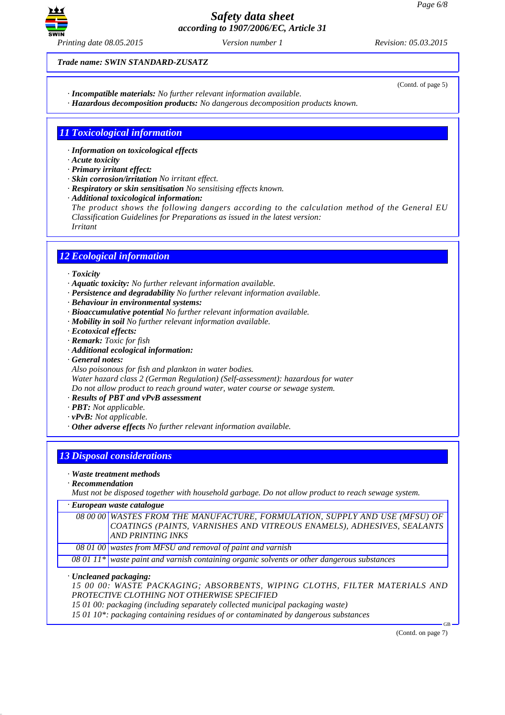

(Contd. of page 5)

*Trade name: SWIN STANDARD-ZUSATZ*

*· Incompatible materials: No further relevant information available.*

*· Hazardous decomposition products: No dangerous decomposition products known.*

## *11 Toxicological information*

- *· Information on toxicological effects*
- *· Acute toxicity*
- *· Primary irritant effect:*
- *· Skin corrosion/irritation No irritant effect.*
- *· Respiratory or skin sensitisation No sensitising effects known.*
- *· Additional toxicological information:*
- *The product shows the following dangers according to the calculation method of the General EU Classification Guidelines for Preparations as issued in the latest version: Irritant*

## *12 Ecological information*

- *· Toxicity*
- *· Aquatic toxicity: No further relevant information available.*
- *· Persistence and degradability No further relevant information available.*
- *· Behaviour in environmental systems:*
- *· Bioaccumulative potential No further relevant information available.*
- *· Mobility in soil No further relevant information available.*
- *· Ecotoxical effects:*
- *· Remark: Toxic for fish*
- *· Additional ecological information:*
- *· General notes:*
- *Also poisonous for fish and plankton in water bodies.*

*Water hazard class 2 (German Regulation) (Self-assessment): hazardous for water*

*Do not allow product to reach ground water, water course or sewage system.*

- *· Results of PBT and vPvB assessment*
- *· PBT: Not applicable.*
- *· vPvB: Not applicable.*
- *· Other adverse effects No further relevant information available.*

## *13 Disposal considerations*

- *· Waste treatment methods*
- *· Recommendation*

*Must not be disposed together with household garbage. Do not allow product to reach sewage system.*

*· European waste catalogue*

| 08 00 00 WASTES FROM THE MANUFACTURE, FORMULATION, SUPPLY AND USE (MFSU) OF<br>COATINGS (PAINTS, VARNISHES AND VITREOUS ENAMELS), ADHESIVES, SEALANTS<br><b>AND PRINTING INKS</b> |
|-----------------------------------------------------------------------------------------------------------------------------------------------------------------------------------|
| $\overline{080100}$ wastes from MFSU and removal of paint and varnish                                                                                                             |

*08 01 11\* waste paint and varnish containing organic solvents or other dangerous substances*

- *· Uncleaned packaging:*
- *15 00 00: WASTE PACKAGING; ABSORBENTS, WIPING CLOTHS, FILTER MATERIALS AND PROTECTIVE CLOTHING NOT OTHERWISE SPECIFIED*
- *15 01 00: packaging (including separately collected municipal packaging waste)*

*15 01 10\*: packaging containing residues of or contaminated by dangerous substances*

(Contd. on page 7)

GB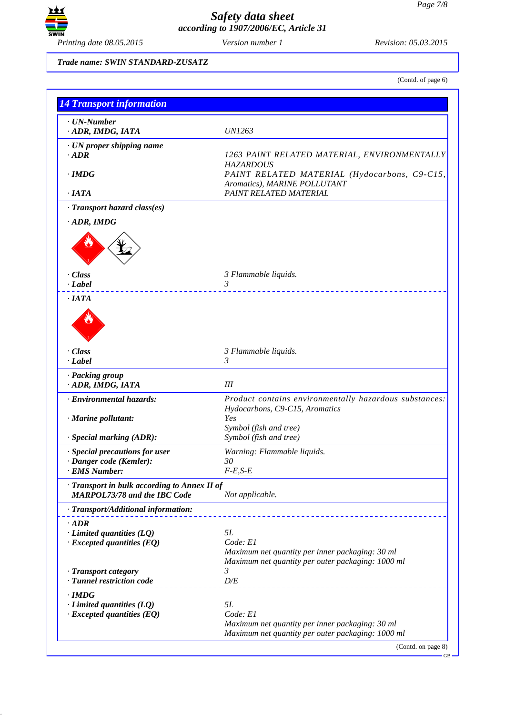

### *Trade name: SWIN STANDARD-ZUSATZ*

(Contd. of page 6)

| <b>14 Transport information</b>                                                     |                                                                                                      |
|-------------------------------------------------------------------------------------|------------------------------------------------------------------------------------------------------|
| $\cdot$ UN-Number                                                                   |                                                                                                      |
| ADR, IMDG, IATA                                                                     | <i>UN1263</i>                                                                                        |
| · UN proper shipping name<br>$\cdot$ <i>ADR</i>                                     | 1263 PAINT RELATED MATERIAL, ENVIRONMENTALLY                                                         |
| $\cdot$ IMDG                                                                        | <b>HAZARDOUS</b><br>PAINT RELATED MATERIAL (Hydocarbons, C9-C15,<br>Aromatics), MARINE POLLUTANT     |
| $\cdot$ IATA                                                                        | PAINT RELATED MATERIAL                                                                               |
| · Transport hazard class(es)                                                        |                                                                                                      |
| $\cdot$ ADR, IMDG                                                                   |                                                                                                      |
|                                                                                     |                                                                                                      |
| · Class<br>$\cdot$ <i>Label</i>                                                     | 3 Flammable liquids.<br>3                                                                            |
| $\cdot$ IATA                                                                        |                                                                                                      |
| $\cdot$ Class                                                                       | 3 Flammable liquids.                                                                                 |
| $\cdot$ Label                                                                       | $\mathfrak{Z}$                                                                                       |
| · Packing group<br>· ADR, IMDG, IATA                                                | III                                                                                                  |
| · Environmental hazards:                                                            | Product contains environmentally hazardous substances:<br>Hydocarbons, C9-C15, Aromatics<br>Yes      |
| · Marine pollutant:                                                                 | Symbol (fish and tree)                                                                               |
| · Special marking (ADR):                                                            | Symbol (fish and tree)                                                                               |
| · Special precautions for user<br>· Danger code (Kemler):                           | Warning: Flammable liquids.<br>30                                                                    |
| · EMS Number:                                                                       | $F-E, S-E$                                                                                           |
| · Transport in bulk according to Annex II of<br><b>MARPOL73/78 and the IBC Code</b> | Not applicable.                                                                                      |
| · Transport/Additional information:                                                 |                                                                                                      |
| $.$ ADR<br>$\cdot$ Limited quantities (LQ)<br>$\cdot$ Excepted quantities (EQ)      | 5L<br>Code: El<br>Maximum net quantity per inner packaging: 30 ml                                    |
| · Transport category<br>· Tunnel restriction code                                   | Maximum net quantity per outer packaging: 1000 ml<br>$\mathfrak{Z}$<br>D/E                           |
|                                                                                     |                                                                                                      |
| $\cdot$ IMDG<br>$\cdot$ Limited quantities (LQ)                                     | 5L                                                                                                   |
| $\cdot$ Excepted quantities (EQ)                                                    | Code: E1                                                                                             |
|                                                                                     | Maximum net quantity per inner packaging: 30 ml<br>Maximum net quantity per outer packaging: 1000 ml |